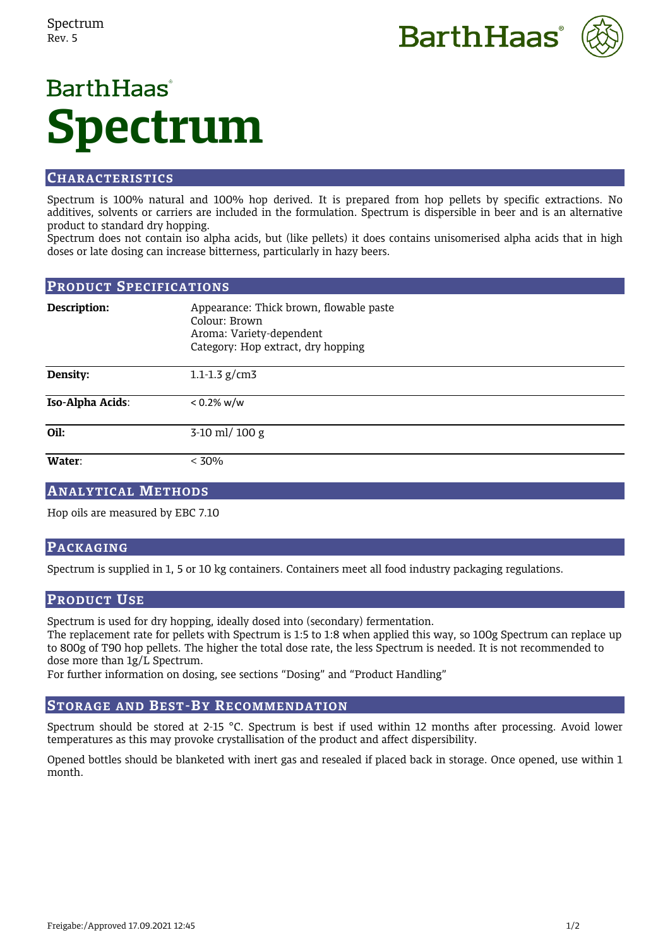



# **BarthHaas**<sup>®</sup> **Spectrum**

## **CHARACTERISTICS**

Spectrum is 100% natural and 100% hop derived. It is prepared from hop pellets by specific extractions. No additives, solvents or carriers are included in the formulation. Spectrum is dispersible in beer and is an alternative product to standard dry hopping.

Spectrum does not contain iso alpha acids, but (like pellets) it does contains unisomerised alpha acids that in high doses or late dosing can increase bitterness, particularly in hazy beers.

### **PRODUCT SPECIFICATIONS**

| Description:     | Appearance: Thick brown, flowable paste<br>Colour: Brown<br>Aroma: Variety-dependent<br>Category: Hop extract, dry hopping |
|------------------|----------------------------------------------------------------------------------------------------------------------------|
| Density:         | $1.1 - 1.3$ g/cm3                                                                                                          |
| Iso-Alpha Acids: | $< 0.2\%$ w/w                                                                                                              |
| Oil:             | $3-10$ ml/ $100$ g                                                                                                         |
| Water:           | $< 30\%$                                                                                                                   |

### **ANALYTICAL METHODS**

Hop oils are measured by EBC 7.10

#### **PACKAGING**

Spectrum is supplied in 1, 5 or 10 kg containers. Containers meet all food industry packaging regulations.

#### **PRODUCT USE**

Spectrum is used for dry hopping, ideally dosed into (secondary) fermentation.

The replacement rate for pellets with Spectrum is 1:5 to 1:8 when applied this way, so 100g Spectrum can replace up to 800g of T90 hop pellets. The higher the total dose rate, the less Spectrum is needed. It is not recommended to dose more than 1g/L Spectrum.

For further information on dosing, see sections "Dosing" and "Product Handling"

#### **STORAGE AND BEST-BY RECOMMENDATION**

Spectrum should be stored at 2-15 °C. Spectrum is best if used within 12 months after processing. Avoid lower temperatures as this may provoke crystallisation of the product and affect dispersibility.

Opened bottles should be blanketed with inert gas and resealed if placed back in storage. Once opened, use within 1 month.